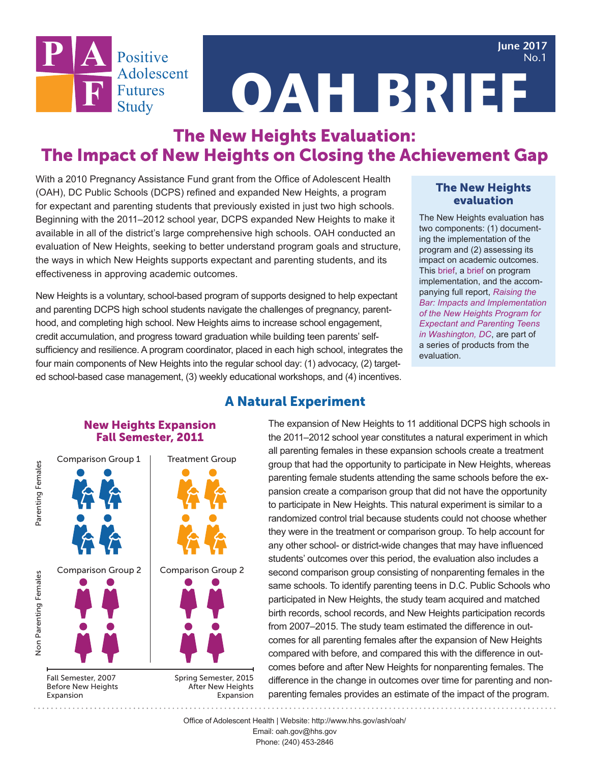**June 2017** No.1



**OAH BRIEF**

## The New Heights Evaluation: The Impact of New Heights on Closing the Achievement Gap

With a 2010 Pregnancy Assistance Fund grant from the Office of Adolescent Health (OAH), DC Public Schools (DCPS) refined and expanded New Heights, a program for expectant and parenting students that previously existed in just two high schools. Beginning with the 2011–2012 school year, DCPS expanded New Heights to make it available in all of the district's large comprehensive high schools. OAH conducted an evaluation of New Heights, seeking to better understand program goals and structure, the ways in which New Heights supports expectant and parenting students, and its effectiveness in approving academic outcomes.

New Heights is a voluntary, school-based program of supports designed to help expectant and parenting DCPS high school students navigate the challenges of pregnancy, parenthood, and completing high school. New Heights aims to increase school engagement, credit accumulation, and progress toward graduation while building teen parents' selfsufficiency and resilience. A program coordinator, placed in each high school, integrates the four main components of New Heights into the regular school day: (1) advocacy, (2) targeted school-based case management, (3) weekly educational workshops, and (4) incentives.

#### The New Heights evaluation

The New Heights evaluation has two components: (1) documenting the implementation of the program and (2) assessing its impact on academic outcomes. This brief, a brief on program implementation, and the accompanying full report, *Raising the Bar: Impacts and Implementation of the New Heights Program for Expectant and Parenting Teens in Washington, DC*, are part of a series of products from the evaluation.

# New Heights Expansion Fall Semester, 2011Comparison Group 1 **Treatment Group Comparison Group 2 Comparison Group 2** Fall Semester, 2007 Spring Semester, 2015 **Before New Heights After New Heights** Expansion Expansion

Parenting Females

**Non Parenting Females** 

## A Natural Experiment

The expansion of New Heights to 11 additional DCPS high schools in the 2011–2012 school year constitutes a natural experiment in which all parenting females in these expansion schools create a treatment group that had the opportunity to participate in New Heights, whereas parenting female students attending the same schools before the expansion create a comparison group that did not have the opportunity to participate in New Heights. This natural experiment is similar to a randomized control trial because students could not choose whether they were in the treatment or comparison group. To help account for any other school- or district-wide changes that may have influenced students' outcomes over this period, the evaluation also includes a second comparison group consisting of nonparenting females in the same schools. To identify parenting teens in D.C. Public Schools who participated in New Heights, the study team acquired and matched birth records, school records, and New Heights participation records from 2007–2015. The study team estimated the difference in outcomes for all parenting females after the expansion of New Heights compared with before, and compared this with the difference in outcomes before and after New Heights for nonparenting females. The difference in the change in outcomes over time for parenting and nonparenting females provides an estimate of the impact of the program.

Office of Adolescent Health | Website: http://www.hhs.gov/ash/oah/

Email: oah.gov@hhs.gov Phone: (240) 453-2846